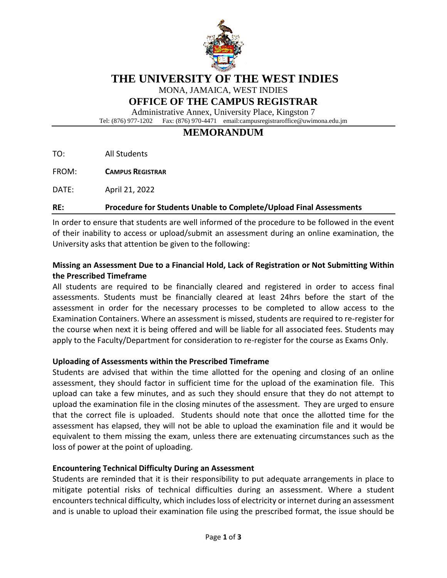

# **THE UNIVERSITY OF THE WEST INDIES**

MONA, JAMAICA, WEST INDIES

## **OFFICE OF THE CAMPUS REGISTRAR**

Administrative Annex, University Place, Kingston 7 Tel: (876) 977-1202 Fax: (876) 970-4471 email:campusregistraroffice@uwimona.edu.jm

# **MEMORANDUM**

TO: All Students

FROM: **CAMPUS REGISTRAR**

DATE: April 21, 2022

#### **RE: Procedure for Students Unable to Complete/Upload Final Assessments**

In order to ensure that students are well informed of the procedure to be followed in the event of their inability to access or upload/submit an assessment during an online examination, the University asks that attention be given to the following:

## **Missing an Assessment Due to a Financial Hold, Lack of Registration or Not Submitting Within the Prescribed Timeframe**

All students are required to be financially cleared and registered in order to access final assessments. Students must be financially cleared at least 24hrs before the start of the assessment in order for the necessary processes to be completed to allow access to the Examination Containers. Where an assessment is missed, students are required to re-register for the course when next it is being offered and will be liable for all associated fees. Students may apply to the Faculty/Department for consideration to re-register for the course as Exams Only.

#### **Uploading of Assessments within the Prescribed Timeframe**

Students are advised that within the time allotted for the opening and closing of an online assessment, they should factor in sufficient time for the upload of the examination file. This upload can take a few minutes, and as such they should ensure that they do not attempt to upload the examination file in the closing minutes of the assessment. They are urged to ensure that the correct file is uploaded. Students should note that once the allotted time for the assessment has elapsed, they will not be able to upload the examination file and it would be equivalent to them missing the exam, unless there are extenuating circumstances such as the loss of power at the point of uploading.

## **Encountering Technical Difficulty During an Assessment**

Students are reminded that it is their responsibility to put adequate arrangements in place to mitigate potential risks of technical difficulties during an assessment. Where a student encounters technical difficulty, which includes loss of electricity or internet during an assessment and is unable to upload their examination file using the prescribed format, the issue should be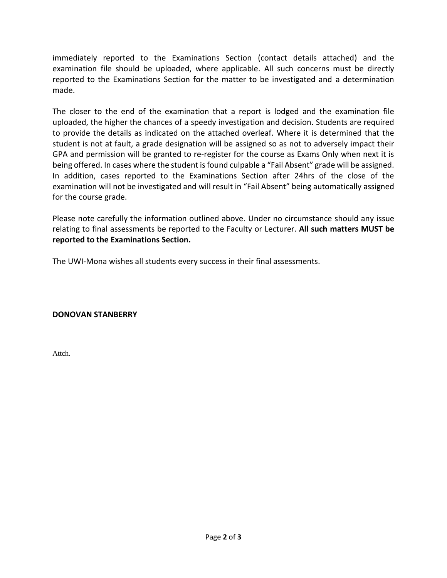immediately reported to the Examinations Section (contact details attached) and the examination file should be uploaded, where applicable. All such concerns must be directly reported to the Examinations Section for the matter to be investigated and a determination made.

The closer to the end of the examination that a report is lodged and the examination file uploaded, the higher the chances of a speedy investigation and decision. Students are required to provide the details as indicated on the attached overleaf. Where it is determined that the student is not at fault, a grade designation will be assigned so as not to adversely impact their GPA and permission will be granted to re-register for the course as Exams Only when next it is being offered. In cases where the student is found culpable a "Fail Absent" grade will be assigned. In addition, cases reported to the Examinations Section after 24hrs of the close of the examination will not be investigated and will result in "Fail Absent" being automatically assigned for the course grade.

Please note carefully the information outlined above. Under no circumstance should any issue relating to final assessments be reported to the Faculty or Lecturer. **All such matters MUST be reported to the Examinations Section.**

The UWI-Mona wishes all students every success in their final assessments.

**DONOVAN STANBERRY**

Attch.